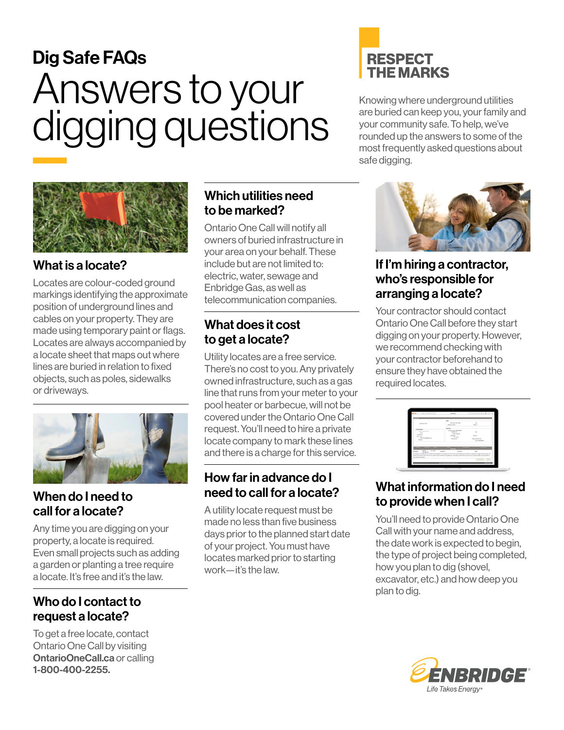# Dig Safe FAQs Answers to your digging questions  $\overline{\phantom{a}}$



## What is a locate?

Locates are colour-coded ground markings identifying the approximate position of underground lines and cables on your property. They are made using temporary paint or flags. Locates are always accompanied by a locate sheet that maps out where lines are buried in relation to fixed objects, such as poles, sidewalks or driveways.



## When do I need to call for a locate?

Any time you are digging on your property, a locate is required. Even small projects such as adding a garden or planting a tree require a locate. It's free and it's the law.

# Who do I contact to request a locate?

To get a free locate, contact Ontario One Call by visiting [OntarioOneCall.ca](https://OntarioOneCall.ca) or calling 1-800-400-2255.

#### Which utilities need to be marked?

Ontario One Call will notify all owners of buried infrastructure in your area on your behalf. These include but are not limited to: electric, water, sewage and Enbridge Gas, as well as telecommunication companies.

# What does it cost to get a locate?

Utility locates are a free service. There's no cost to you. Any privately owned infrastructure, such as a gas line that runs from your meter to your pool heater or barbecue, will not be covered under the Ontario One Call request. You'll need to hire a private locate company to mark these lines and there is a charge for this service.

## How far in advance do I need to call for a locate?

A utility locate request must be made no less than five business days prior to the planned start date of your project. You must have locates marked prior to starting work—it's the law.

# **RESPECT THE MARKS**

Knowing where underground utilities are buried can keep you, your family and your community safe. To help, we've rounded up the answers to some of the most frequently asked questions about safe digging.



#### If I'm hiring a contractor, who's responsible for arranging a locate?

Your contractor should contact Ontario One Call before they start digging on your property. However, we recommend checking with your contractor beforehand to ensure they have obtained the required locates.

| <b>SAN AVAILABLE</b><br><b>Barried College</b> | $\sim$<br><b>Board #</b>                                                          |                                                                                                                                                                                                                                                                                                                                            |
|------------------------------------------------|-----------------------------------------------------------------------------------|--------------------------------------------------------------------------------------------------------------------------------------------------------------------------------------------------------------------------------------------------------------------------------------------------------------------------------------------|
|                                                |                                                                                   |                                                                                                                                                                                                                                                                                                                                            |
| Legan are winkinsta                            |                                                                                   |                                                                                                                                                                                                                                                                                                                                            |
|                                                | <b>Service</b>                                                                    |                                                                                                                                                                                                                                                                                                                                            |
| <b>SIGNAL</b>                                  | <b>TAXABLE</b>                                                                    |                                                                                                                                                                                                                                                                                                                                            |
|                                                |                                                                                   |                                                                                                                                                                                                                                                                                                                                            |
|                                                | Tax MARTINE                                                                       |                                                                                                                                                                                                                                                                                                                                            |
|                                                |                                                                                   |                                                                                                                                                                                                                                                                                                                                            |
|                                                |                                                                                   |                                                                                                                                                                                                                                                                                                                                            |
|                                                |                                                                                   |                                                                                                                                                                                                                                                                                                                                            |
| <b>COMPANY</b><br><b>CARD IN</b>               | <b>Sent</b>                                                                       |                                                                                                                                                                                                                                                                                                                                            |
|                                                |                                                                                   |                                                                                                                                                                                                                                                                                                                                            |
|                                                | <b>MARK</b><br>mines late<br><b>Seat Front St</b><br>The first<br><b>Barnette</b> | <b><i><u>Business British</u></i></b><br>The transit is in private with an Eristin Sher Delivate. This may have up to 20 hours. Should additional information by required up agent infinititied you by<br>A the considers who he in his carried this he hand a product use of determination to shall have been produced a shall address to |

# What information do I need to provide when I call?

You'll need to provide Ontario One Call with your name and address, the date work is expected to begin, the type of project being completed, how you plan to dig (shovel, excavator, etc.) and how deep you plan to dig.